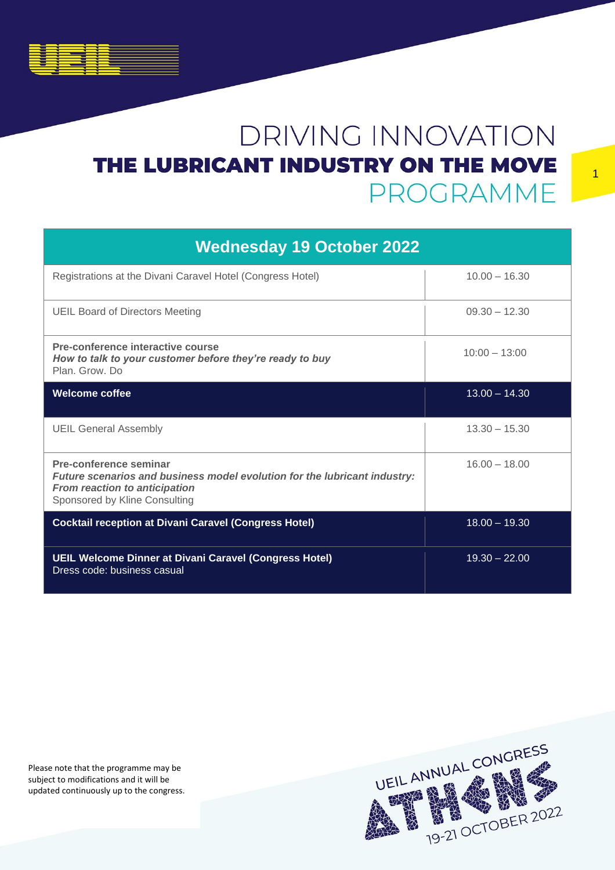| <b>Wednesday 19 October 2022</b>                                                                                                                                      |                 |  |
|-----------------------------------------------------------------------------------------------------------------------------------------------------------------------|-----------------|--|
| Registrations at the Divani Caravel Hotel (Congress Hotel)                                                                                                            | $10.00 - 16.30$ |  |
| <b>UEIL Board of Directors Meeting</b>                                                                                                                                | $09.30 - 12.30$ |  |
| Pre-conference interactive course<br>How to talk to your customer before they're ready to buy<br>Plan, Grow, Do                                                       | $10:00 - 13:00$ |  |
| <b>Welcome coffee</b>                                                                                                                                                 | $13.00 - 14.30$ |  |
| <b>UEIL General Assembly</b>                                                                                                                                          | $13.30 - 15.30$ |  |
| Pre-conference seminar<br>Future scenarios and business model evolution for the lubricant industry:<br>From reaction to anticipation<br>Sponsored by Kline Consulting | $16.00 - 18.00$ |  |
| <b>Cocktail reception at Divani Caravel (Congress Hotel)</b>                                                                                                          | $18.00 - 19.30$ |  |
| UEIL Welcome Dinner at Divani Caravel (Congress Hotel)<br>Dress code: business casual                                                                                 | $19.30 - 22.00$ |  |

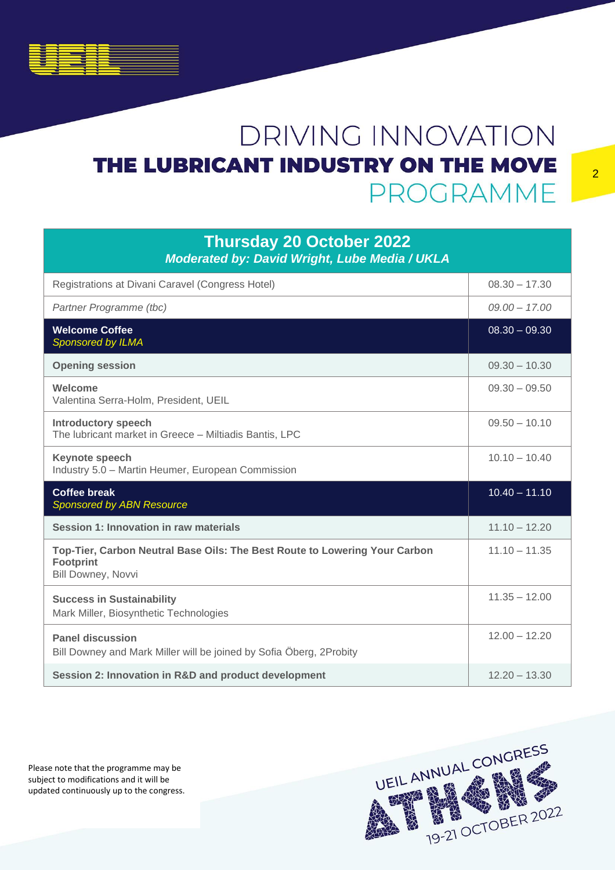#### **Thursday 20 October 2022** *Moderated by: David Wright, Lube Media / UKLA* Registrations at Divani Caravel (Congress Hotel) 08.30 - 17.30 *Partner Programme (tbc) 09.00 – 17.00* **Welcome Coffee** *Sponsored by ILMA* 08.30 – 09.30 **Opening session** 09.30 – 10.30 **Welcome**  Valentina Serra-Holm, President, UEIL 09.30 – 09.50 **Introductory speech** The lubricant market in Greece – Miltiadis Bantis, LPC  $09.50 - 10.10$ **Keynote speech**  Industry 5.0 – Martin Heumer, European Commission 10.10 – 10.40 **Coffee break** *Sponsored by ABN Resource*  $10.40 - 11.10$ **Session 1: Innovation in raw materials** 11.10 – 12.20 **Top-Tier, Carbon Neutral Base Oils: The Best Route to Lowering Your Carbon Footprint** Bill Downey, Novvi 11.10 – 11.35 **Success in Sustainability** Mark Miller, Biosynthetic Technologies 11.35 – 12.00 **Panel discussion** Bill Downey and Mark Miller will be joined by Sofia Öberg, 2Probity 12.00 – 12.20 **Session 2: Innovation in R&D and product development** 12.20 – 13.30

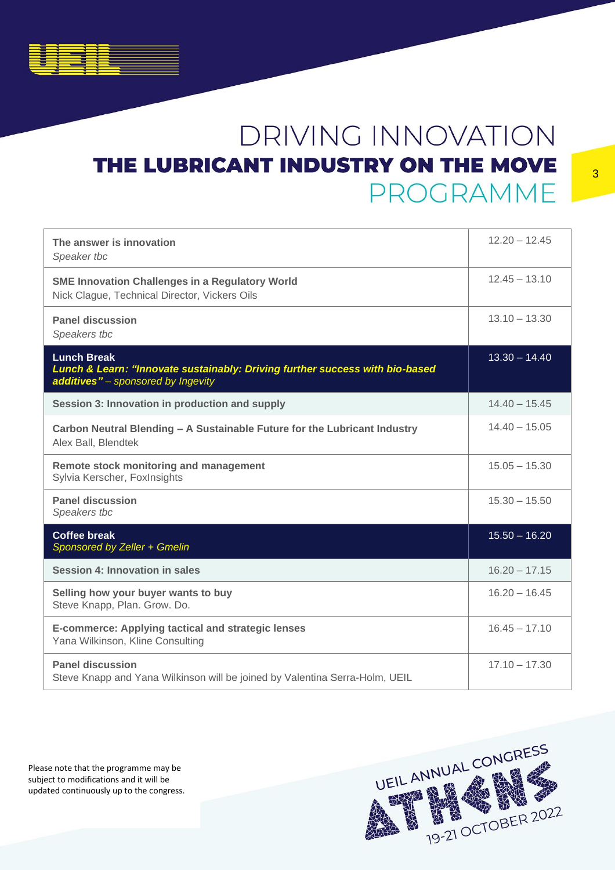| The answer is innovation<br>Speaker tbc                                                                                                  | $12.20 - 12.45$ |
|------------------------------------------------------------------------------------------------------------------------------------------|-----------------|
| <b>SME Innovation Challenges in a Regulatory World</b><br>Nick Clague, Technical Director, Vickers Oils                                  | $12.45 - 13.10$ |
| <b>Panel discussion</b><br>Speakers tbc                                                                                                  | $13.10 - 13.30$ |
| <b>Lunch Break</b><br>Lunch & Learn: "Innovate sustainably: Driving further success with bio-based<br>additives" - sponsored by Ingevity | $13.30 - 14.40$ |
| Session 3: Innovation in production and supply                                                                                           | $14.40 - 15.45$ |
| Carbon Neutral Blending - A Sustainable Future for the Lubricant Industry<br>Alex Ball, Blendtek                                         | $14.40 - 15.05$ |
| Remote stock monitoring and management<br>Sylvia Kerscher, FoxInsights                                                                   | $15.05 - 15.30$ |
| <b>Panel discussion</b><br>Speakers tbc                                                                                                  | $15.30 - 15.50$ |
| <b>Coffee break</b><br>Sponsored by Zeller + Gmelin                                                                                      | $15.50 - 16.20$ |
| Session 4: Innovation in sales                                                                                                           | $16.20 - 17.15$ |
| Selling how your buyer wants to buy<br>Steve Knapp, Plan. Grow. Do.                                                                      | $16.20 - 16.45$ |
| <b>E-commerce: Applying tactical and strategic lenses</b><br>Yana Wilkinson, Kline Consulting                                            | $16.45 - 17.10$ |
| <b>Panel discussion</b><br>Steve Knapp and Yana Wilkinson will be joined by Valentina Serra-Holm, UEIL                                   | $17.10 - 17.30$ |